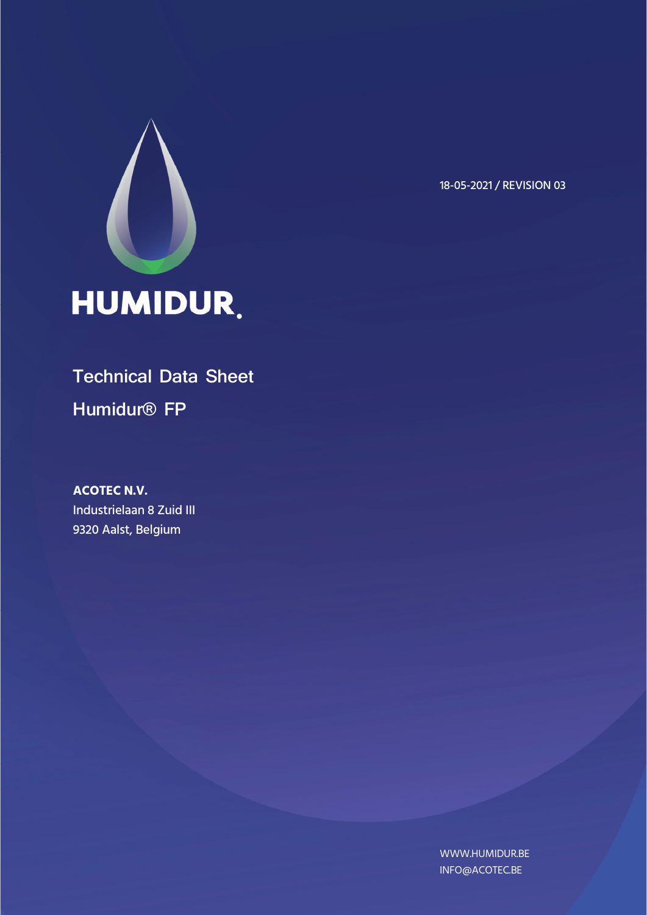

18-05-2021 / REVISION 03

# **Technical Data Sheet Humidur® FP**

**ACOTEC N.V.**  Industrielaan 8 Zuid III 9320 Aalst, Belgium

> WWW.HUMIDUR.BE INFO@ACOTEC.BE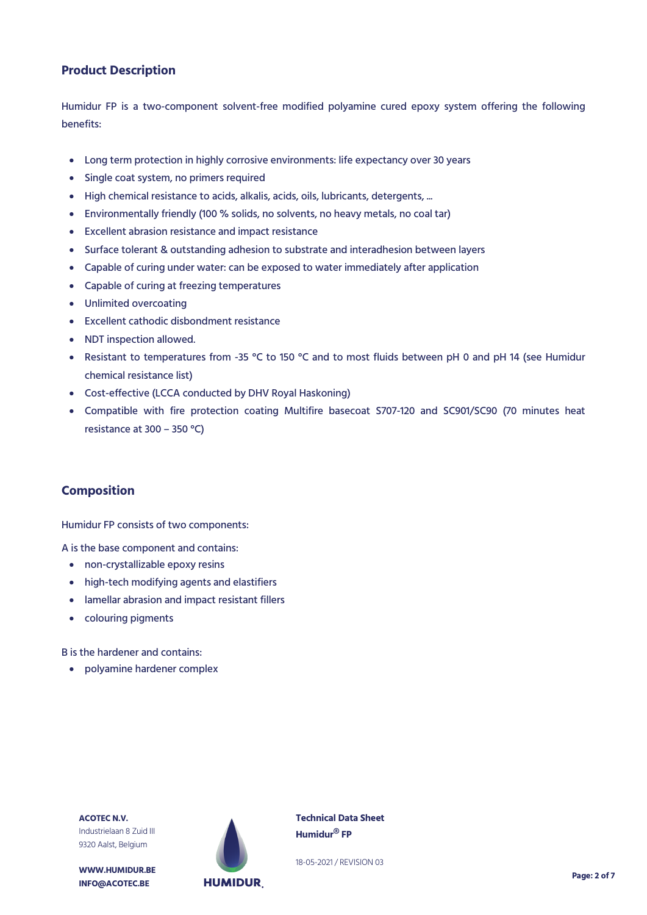## **Product Description**

Humidur FP is a two-component solvent-free modified polyamine cured epoxy system offering the following benefits:

- Long term protection in highly corrosive environments: life expectancy over 30 years
- Single coat system, no primers required
- High chemical resistance to acids, alkalis, acids, oils, lubricants, detergents, ...
- Environmentally friendly (100 % solids, no solvents, no heavy metals, no coal tar)
- Excellent abrasion resistance and impact resistance
- Surface tolerant & outstanding adhesion to substrate and interadhesion between layers
- Capable of curing under water: can be exposed to water immediately after application
- Capable of curing at freezing temperatures
- Unlimited overcoating
- Excellent cathodic disbondment resistance
- NDT inspection allowed.
- Resistant to temperatures from -35 °C to 150 °C and to most fluids between pH 0 and pH 14 (see Humidur chemical resistance list)
- Cost-effective (LCCA conducted by DHV Royal Haskoning)
- Compatible with fire protection coating Multifire basecoat S707-120 and SC901/SC90 (70 minutes heat resistance at 300 – 350 °C)

### **Composition**

Humidur FP consists of two components:

A is the base component and contains:

- non-crystallizable epoxy resins
- high-tech modifying agents and elastifiers
- lamellar abrasion and impact resistant fillers
- colouring pigments

B is the hardener and contains:

polyamine hardener complex

**ACOTEC N.V.** Industrielaan 8 Zuid III 9320 Aalst, Belgium



**Technical Data Sheet Humidur® FP**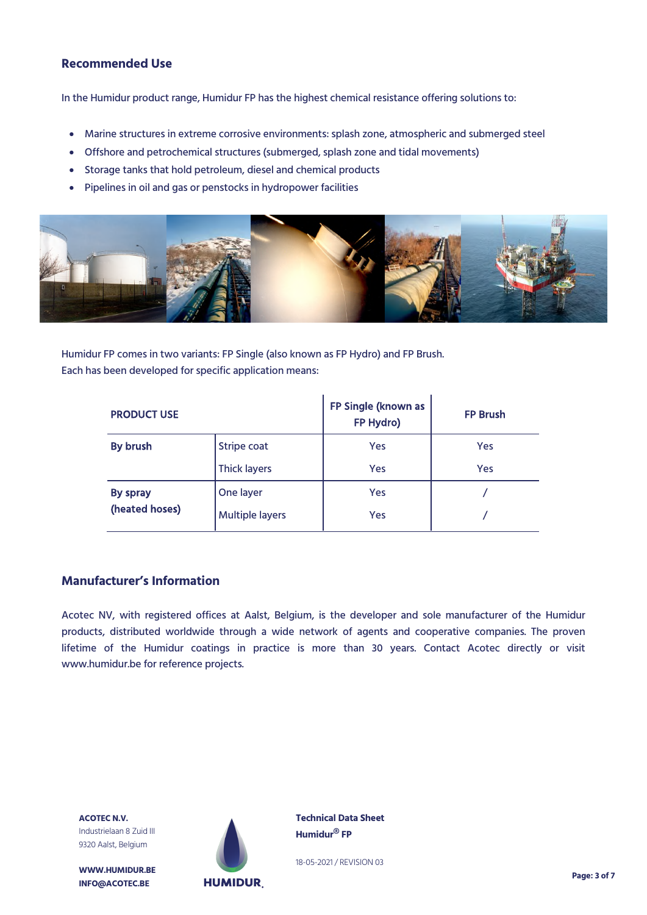## **Recommended Use**

In the Humidur product range, Humidur FP has the highest chemical resistance offering solutions to:

- Marine structures in extreme corrosive environments: splash zone, atmospheric and submerged steel
- Offshore and petrochemical structures (submerged, splash zone and tidal movements)
- Storage tanks that hold petroleum, diesel and chemical products
- Pipelines in oil and gas or penstocks in hydropower facilities



Humidur FP comes in two variants: FP Single (also known as FP Hydro) and FP Brush. Each has been developed for specific application means:

| <b>PRODUCT USE</b> |                        | FP Single (known as<br>FP Hydro) | <b>FP Brush</b> |  |
|--------------------|------------------------|----------------------------------|-----------------|--|
| By brush           | Stripe coat            | Yes                              | Yes             |  |
|                    | <b>Thick layers</b>    | Yes                              | Yes             |  |
| By spray           | One layer              | Yes                              |                 |  |
| (heated hoses)     | <b>Multiple layers</b> | Yes                              |                 |  |

## **Manufacturer's Information**

Acotec NV, with registered offices at Aalst, Belgium, is the developer and sole manufacturer of the Humidur products, distributed worldwide through a wide network of agents and cooperative companies. The proven lifetime of the Humidur coatings in practice is more than 30 years. Contact Acotec directly or visit www.humidur.be for reference projects.

**ACOTEC N.V.** Industrielaan 8 Zuid III 9320 Aalst, Belgium

**WWW.HUMIDUR.BE INFO@ACOTEC.BE** 



**Technical Data Sheet Humidur® FP**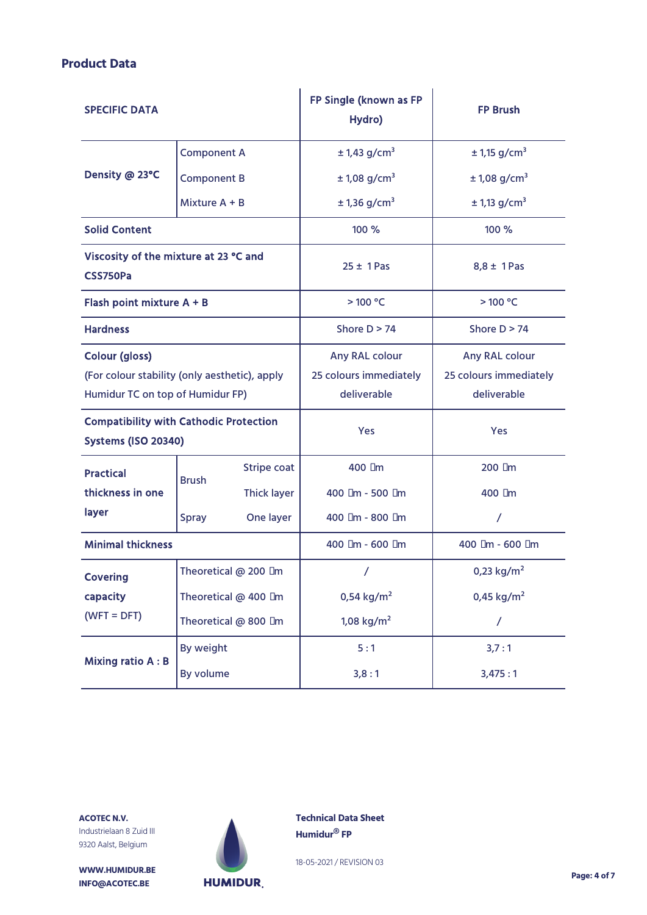## **Product Data**

| <b>SPECIFIC DATA</b>                                                        |                      | FP Single (known as FP<br>Hydro) | <b>FP Brush</b>            |                            |  |
|-----------------------------------------------------------------------------|----------------------|----------------------------------|----------------------------|----------------------------|--|
|                                                                             | <b>Component A</b>   |                                  | $± 1,43$ g/cm <sup>3</sup> | $± 1,15$ g/cm <sup>3</sup> |  |
| Density @ 23°C                                                              | <b>Component B</b>   |                                  | $± 1,08$ g/cm <sup>3</sup> | $± 1,08$ g/cm <sup>3</sup> |  |
|                                                                             | Mixture A + B        |                                  | $± 1,36$ g/cm <sup>3</sup> | ± 1,13 g/cm <sup>3</sup>   |  |
| <b>Solid Content</b>                                                        |                      |                                  | 100 %                      | 100 %                      |  |
| Viscosity of the mixture at 23 °C and<br>CSS750Pa                           |                      |                                  | $25 \pm 1$ Pas             | $8,8 \pm 1$ Pas            |  |
| Flash point mixture A + B                                                   |                      |                                  | >100 °C                    | >100 °C                    |  |
| <b>Hardness</b>                                                             |                      |                                  | Shore $D > 74$             | Shore $D > 74$             |  |
| <b>Colour (gloss)</b>                                                       |                      |                                  | Any RAL colour             | Any RAL colour             |  |
| (For colour stability (only aesthetic), apply                               |                      |                                  | 25 colours immediately     | 25 colours immediately     |  |
| Humidur TC on top of Humidur FP)                                            |                      |                                  | deliverable                | deliverable                |  |
| <b>Compatibility with Cathodic Protection</b><br><b>Systems (ISO 20340)</b> |                      | Yes                              | Yes                        |                            |  |
| <b>Practical</b><br>thickness in one<br>layer                               | <b>Brush</b>         | <b>Stripe coat</b>               | 400 µm                     | $200 \mu m$                |  |
|                                                                             |                      | <b>Thick layer</b>               | 400 µm - 500 µm            | 400 µm                     |  |
|                                                                             | <b>Spray</b>         | One layer                        | 400 µm - 800 µm            | $\prime$                   |  |
| <b>Minimal thickness</b>                                                    |                      |                                  | 400 µm - 600 µm            | 400 µm - 600 µm            |  |
| <b>Covering</b>                                                             | Theoretical @ 200 µm |                                  |                            | 0,23 $kg/m2$               |  |
| capacity<br>$(WFT = DFT)$                                                   | Theoretical @ 400 µm |                                  | 0,54 kg/m <sup>2</sup>     | 0,45 $kg/m2$               |  |
|                                                                             | Theoretical @ 800 µm |                                  | 1,08 $kg/m2$               | $\overline{1}$             |  |
| <b>Mixing ratio A: B</b>                                                    | By weight            |                                  | 5:1                        | 3,7:1                      |  |
|                                                                             | By volume            |                                  | 3,8:1                      | 3,475:1                    |  |

**ACOTEC N.V.** Industrielaan 8 Zuid III 9320 Aalst, Belgium

**WWW.HUMIDUR.BE INFO@ACOTEC.BE** 



**Technical Data Sheet Humidur® FP**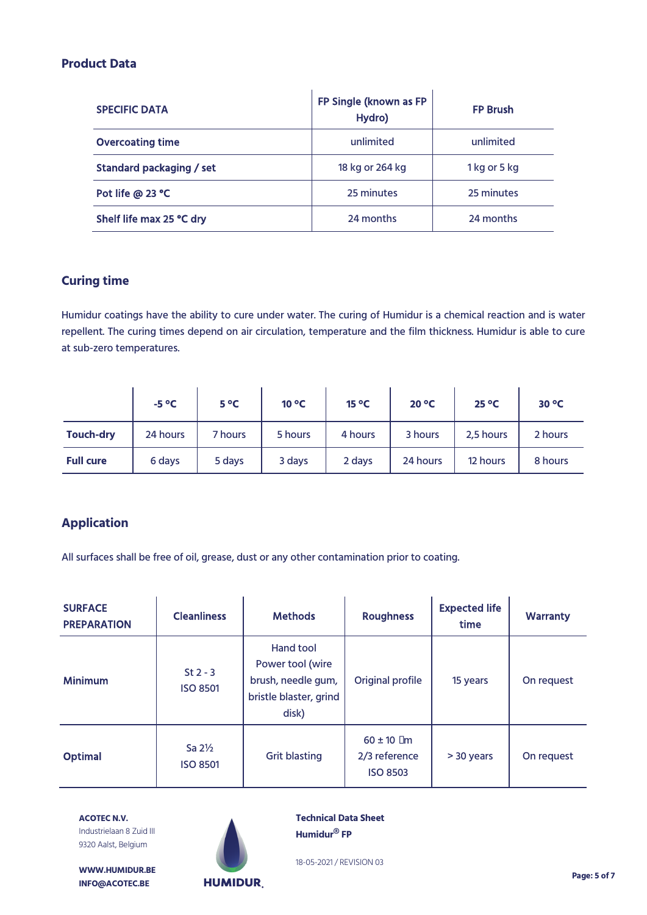## **Product Data**

| <b>SPECIFIC DATA</b>     | FP Single (known as FP<br>Hydro) | <b>FP Brush</b> |
|--------------------------|----------------------------------|-----------------|
| <b>Overcoating time</b>  | unlimited                        | unlimited       |
| Standard packaging / set | 18 kg or 264 kg                  | 1 kg or 5 kg    |
| Pot life @ 23 °C         | 25 minutes                       | 25 minutes      |
| Shelf life max 25 °C dry | 24 months                        | 24 months       |

## **Curing time**

Humidur coatings have the ability to cure under water. The curing of Humidur is a chemical reaction and is water repellent. The curing times depend on air circulation, temperature and the film thickness. Humidur is able to cure at sub-zero temperatures.

|                  | $-5^{\circ}C$ | $5^{\circ}$ C | $10^{\circ}$ C | $15^{\circ}$ C | $20^{\circ}$ C | $25^{\circ}$ C | $30^{\circ}$ C |
|------------------|---------------|---------------|----------------|----------------|----------------|----------------|----------------|
| <b>Touch-dry</b> | 24 hours      | 7 hours       | 5 hours        | 4 hours        | 3 hours        | 2,5 hours      | 2 hours        |
| <b>Full cure</b> | 6 days        | 5 days        | 3 days         | 2 days         | 24 hours       | 12 hours       | 8 hours        |

# **Application**

All surfaces shall be free of oil, grease, dust or any other contamination prior to coating.

| <b>SURFACE</b><br><b>PREPARATION</b> | <b>Cleanliness</b>                   | <b>Methods</b>                                                                         | <b>Roughness</b>                                   | <b>Expected life</b><br>time | <b>Warranty</b> |
|--------------------------------------|--------------------------------------|----------------------------------------------------------------------------------------|----------------------------------------------------|------------------------------|-----------------|
| <b>Minimum</b>                       | $St 2 - 3$<br><b>ISO 8501</b>        | Hand tool<br>Power tool (wire<br>brush, needle gum,<br>bristle blaster, grind<br>disk) | Original profile                                   | 15 years                     | On request      |
| <b>Optimal</b>                       | Sa $2\frac{1}{2}$<br><b>ISO 8501</b> | <b>Grit blasting</b>                                                                   | $60 \pm 10$ µm<br>2/3 reference<br><b>ISO 8503</b> | > 30 years                   | On request      |

**ACOTEC N.V.** Industrielaan 8 Zuid III 9320 Aalst, Belgium



**Technical Data Sheet Humidur® FP**

18-05-2021 / REVISION 03

**WWW.HUMIDUR.BE INFO@ACOTEC.BE** 

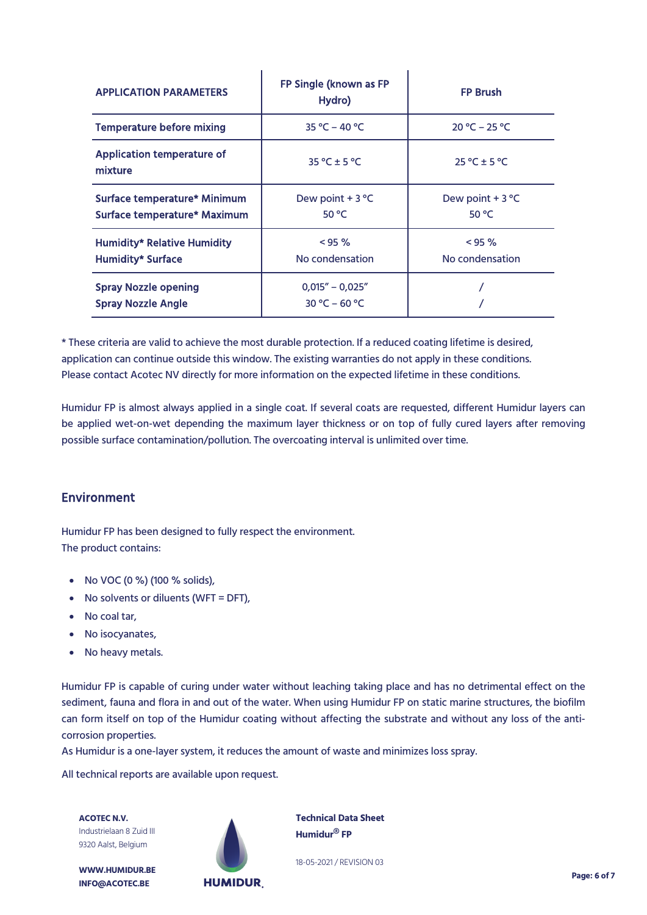| <b>APPLICATION PARAMETERS</b>                                  | FP Single (known as FP<br>Hydro)       | <b>FP Brush</b>              |  |
|----------------------------------------------------------------|----------------------------------------|------------------------------|--|
| <b>Temperature before mixing</b>                               | $35 °C - 40 °C$                        | $20 °C - 25 °C$              |  |
| <b>Application temperature of</b><br>mixture                   | $35^{\circ}$ C ± 5 °C                  | $25 °C \pm 5 °C$             |  |
| Surface temperature* Minimum<br>Surface temperature* Maximum   | Dew point $+3$ °C<br>50 °C             | Dew point $+3$ °C<br>50 °C   |  |
| <b>Humidity* Relative Humidity</b><br><b>Humidity* Surface</b> | $< 95 \%$<br>No condensation           | $< 95 \%$<br>No condensation |  |
| <b>Spray Nozzle opening</b><br><b>Spray Nozzle Angle</b>       | $0.015'' - 0.025''$<br>$30 °C - 60 °C$ |                              |  |

 $\mathbf{I}$ 

 $\mathbf{I}$ 

\* These criteria are valid to achieve the most durable protection. If a reduced coating lifetime is desired, application can continue outside this window. The existing warranties do not apply in these conditions. Please contact Acotec NV directly for more information on the expected lifetime in these conditions.

Humidur FP is almost always applied in a single coat. If several coats are requested, different Humidur layers can be applied wet-on-wet depending the maximum layer thickness or on top of fully cured layers after removing possible surface contamination/pollution. The overcoating interval is unlimited over time.

## **Environment**

Humidur FP has been designed to fully respect the environment. The product contains:

- No VOC (0 %) (100 % solids),
- No solvents or diluents (WFT = DFT),
- No coal tar,
- No isocyanates,
- No heavy metals.

Humidur FP is capable of curing under water without leaching taking place and has no detrimental effect on the sediment, fauna and flora in and out of the water. When using Humidur FP on static marine structures, the biofilm can form itself on top of the Humidur coating without affecting the substrate and without any loss of the anticorrosion properties.

As Humidur is a one-layer system, it reduces the amount of waste and minimizes loss spray.

All technical reports are available upon request.

**ACOTEC N.V.** Industrielaan 8 Zuid III 9320 Aalst, Belgium



**WWW.HUMIDUR.BE INFO@ACOTEC.BE** 

**Technical Data Sheet Humidur® FP**